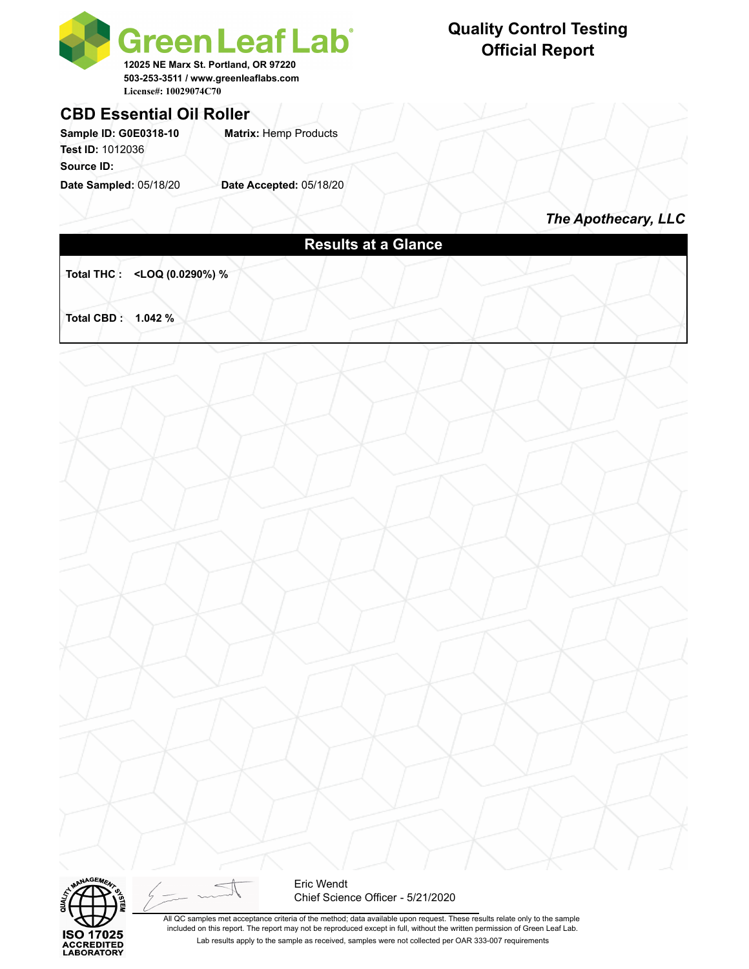

## **CBD Essential Oil Roller**

Sample ID: G0E0318-10 **Matrix: Hemp Products Test ID:** 1012036

**Source ID:** 

**Date Sampled:** 05/18/20 **Date Accepted:** 05/18/20

### **Quality Control Testing Official Report**

*The Apothecary, LLC*

### **Results at a Glance**

**Total THC : <LOQ (0.0290%) %** 

**Total CBD : 1.042 %** 





Eric Wendt Chief Science Officer - 5/21/2020

All QC samples met acceptance criteria of the method; data available upon request. These results relate only to the sample included on this report. The report may not be reproduced except in full, without the written permission of Green Leaf Lab. Lab results apply to the sample as received, samples were not collected per OAR 333-007 requirements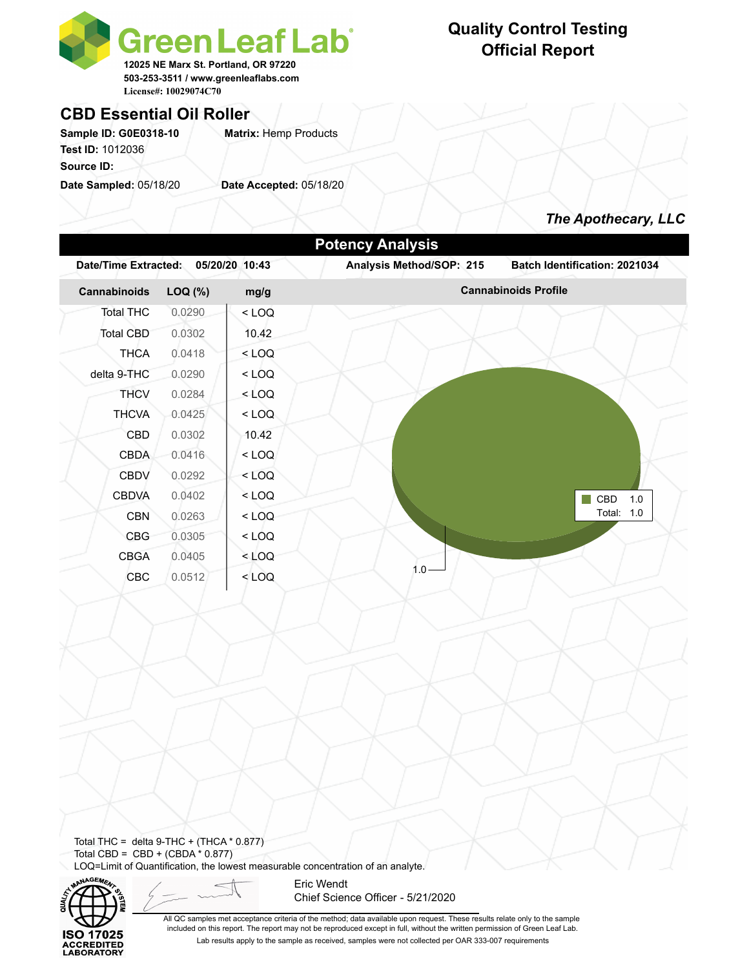

#### **CBD Essential Oil Roller**

Sample ID: G0E0318-10 **Matrix: Hemp Products Test ID:** 1012036

**Source ID:** 

**Date Sampled:** 05/18/20 **Date Accepted:** 05/18/20

#### **Quality Control Testing Official Report**



| <b>Date/Time Extracted:</b>                                                      |         | 05/20/20 10:43 | Analysis Method/SOP: 215 | Batch Identification: 2021034 |
|----------------------------------------------------------------------------------|---------|----------------|--------------------------|-------------------------------|
| Cannabinoids                                                                     | LOQ (%) | mg/g           |                          | <b>Cannabinoids Profile</b>   |
| <b>Total THC</b>                                                                 | 0.0290  | $<$ LOQ        |                          |                               |
| <b>Total CBD</b>                                                                 | 0.0302  | 10.42          |                          |                               |
| <b>THCA</b>                                                                      | 0.0418  | $<$ LOQ        |                          |                               |
| delta 9-THC                                                                      | 0.0290  | $<$ LOQ        |                          |                               |
| <b>THCV</b>                                                                      | 0.0284  | $<$ LOQ        |                          |                               |
| <b>THCVA</b>                                                                     | 0.0425  | $<$ LOQ        |                          |                               |
| CBD                                                                              | 0.0302  | 10.42          |                          |                               |
| <b>CBDA</b>                                                                      | 0.0416  | $<$ LOQ        |                          |                               |
| <b>CBDV</b>                                                                      | 0.0292  | $<$ LOQ        |                          |                               |
| <b>CBDVA</b>                                                                     | 0.0402  | $<$ LOQ        |                          | $\blacksquare$ CBD<br>$1.0$   |
| <b>CBN</b>                                                                       | 0.0263  | $<$ LOQ        |                          | Total: 1.0                    |
| CBG                                                                              | 0.0305  | $<$ LOQ        |                          |                               |
| <b>CBGA</b>                                                                      | 0.0405  | $<$ LOQ        |                          |                               |
| CBC                                                                              | 0.0512  | $<$ LOQ        | $1.0 -$                  |                               |
|                                                                                  |         |                |                          |                               |
|                                                                                  |         |                |                          |                               |
|                                                                                  |         |                |                          |                               |
|                                                                                  |         |                |                          |                               |
|                                                                                  |         |                |                          |                               |
|                                                                                  |         |                |                          |                               |
|                                                                                  |         |                |                          |                               |
|                                                                                  |         |                |                          |                               |
|                                                                                  |         |                |                          |                               |
|                                                                                  |         |                |                          |                               |
| Total THC = delta 9-THC + (THCA $*$ 0.877)<br>Total CBD = $CBD + (CBDA * 0.877)$ |         |                |                          |                               |



Eric Wendt Chief Science Officer - 5/21/2020

All QC samples met acceptance criteria of the method; data available upon request. These results relate only to the sample included on this report. The report may not be reproduced except in full, without the written permission of Green Leaf Lab. Lab results apply to the sample as received, samples were not collected per OAR 333-007 requirements